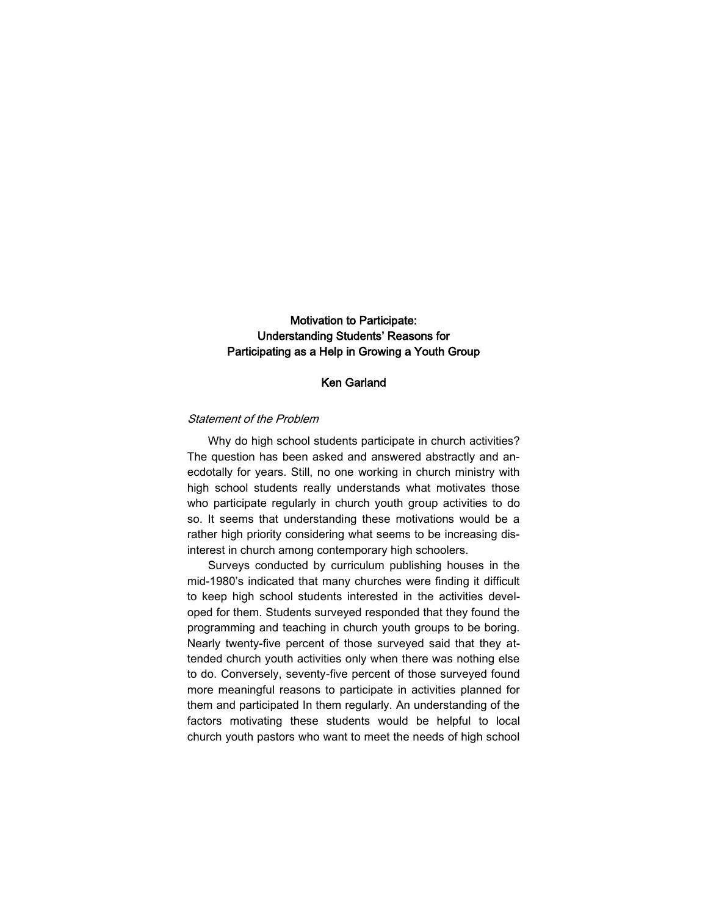# Motivation to Participate: Understanding Students' Reasons for Participating as a Help in Growing a Youth Group

## Ken Garland

## Statement of the Problem

Why do high school students participate in church activities? The question has been asked and answered abstractly and anecdotally for years. Still, no one working in church ministry with high school students really understands what motivates those who participate regularly in church youth group activities to do so. It seems that understanding these motivations would be a rather high priority considering what seems to be increasing disinterest in church among contemporary high schoolers.

Surveys conducted by curriculum publishing houses in the mid-1980's indicated that many churches were finding it difficult to keep high school students interested in the activities developed for them. Students surveyed responded that they found the programming and teaching in church youth groups to be boring. Nearly twenty-five percent of those surveyed said that they attended church youth activities only when there was nothing else to do. Conversely, seventy-five percent of those surveyed found more meaningful reasons to participate in activities planned for them and participated In them regularly. An understanding of the factors motivating these students would be helpful to local church youth pastors who want to meet the needs of high school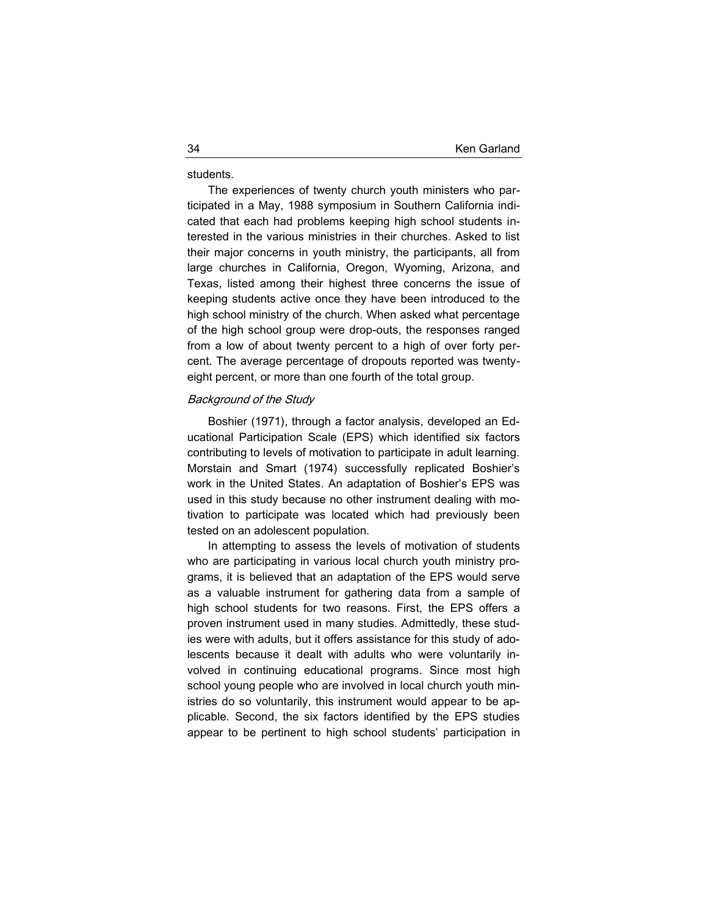students.

The experiences of twenty church youth ministers who participated in a May, 1988 symposium in Southern California indicated that each had problems keeping high school students interested in the various ministries in their churches. Asked to list their major concerns in youth ministry, the participants, all from large churches in California, Oregon, Wyoming, Arizona, and Texas, listed among their highest three concerns the issue of keeping students active once they have been introduced to the high school ministry of the church. When asked what percentage of the high school group were drop-outs, the responses ranged from a low of about twenty percent to a high of over forty percent. The average percentage of dropouts reported was twentyeight percent, or more than one fourth of the total group.

#### Background of the Study

Boshier (1971), through a factor analysis, developed an Educational Participation Scale (EPS) which identified six factors contributing to levels of motivation to participate in adult learning. Morstain and Smart (1974) successfully replicated Boshier's work in the United States. An adaptation of Boshier's EPS was used in this study because no other instrument dealing with motivation to participate was located which had previously been tested on an adolescent population.

In attempting to assess the levels of motivation of students who are participating in various local church youth ministry programs, it is believed that an adaptation of the EPS would serve as a valuable instrument for gathering data from a sample of high school students for two reasons. First, the EPS offers a proven instrument used in many studies. Admittedly, these studies were with adults, but it offers assistance for this study of adolescents because it dealt with adults who were voluntarily involved in continuing educational programs. Since most high school young people who are involved in local church youth ministries do so voluntarily, this instrument would appear to be applicable. Second, the six factors identified by the EPS studies appear to be pertinent to high school students' participation in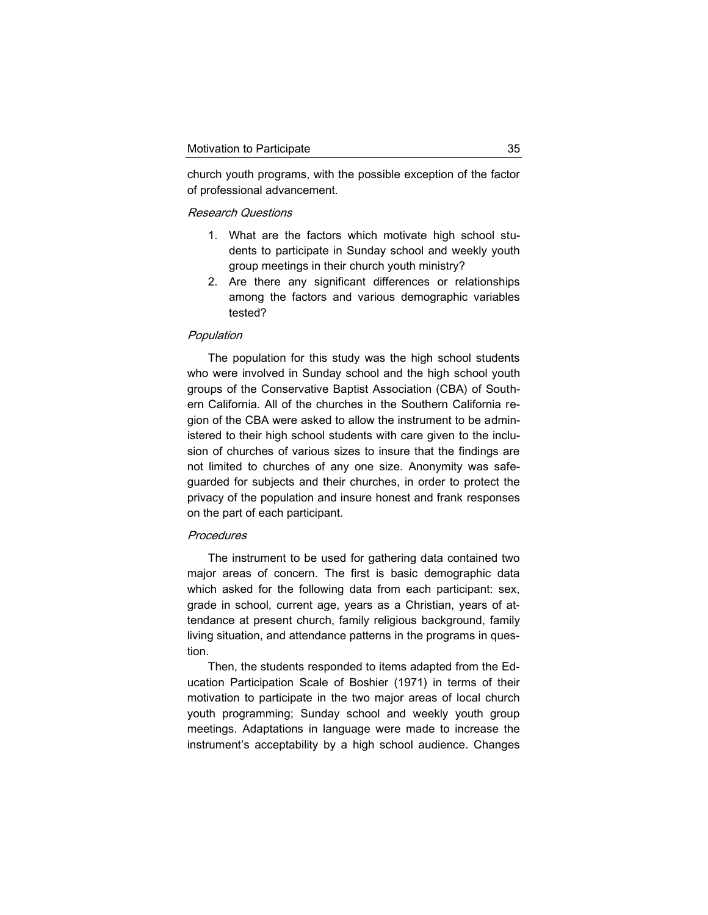church youth programs, with the possible exception of the factor of professional advancement.

#### Research Questions

- 1. What are the factors which motivate high school students to participate in Sunday school and weekly youth group meetings in their church youth ministry?
- 2. Are there any significant differences or relationships among the factors and various demographic variables tested?

#### Population

The population for this study was the high school students who were involved in Sunday school and the high school youth groups of the Conservative Baptist Association (CBA) of Southern California. All of the churches in the Southern California region of the CBA were asked to allow the instrument to be administered to their high school students with care given to the inclusion of churches of various sizes to insure that the findings are not limited to churches of any one size. Anonymity was safeguarded for subjects and their churches, in order to protect the privacy of the population and insure honest and frank responses on the part of each participant.

## **Procedures**

The instrument to be used for gathering data contained two major areas of concern. The first is basic demographic data which asked for the following data from each participant: sex, grade in school, current age, years as a Christian, years of attendance at present church, family religious background, family living situation, and attendance patterns in the programs in question.

Then, the students responded to items adapted from the Education Participation Scale of Boshier (1971) in terms of their motivation to participate in the two major areas of local church youth programming; Sunday school and weekly youth group meetings. Adaptations in language were made to increase the instrument's acceptability by a high school audience. Changes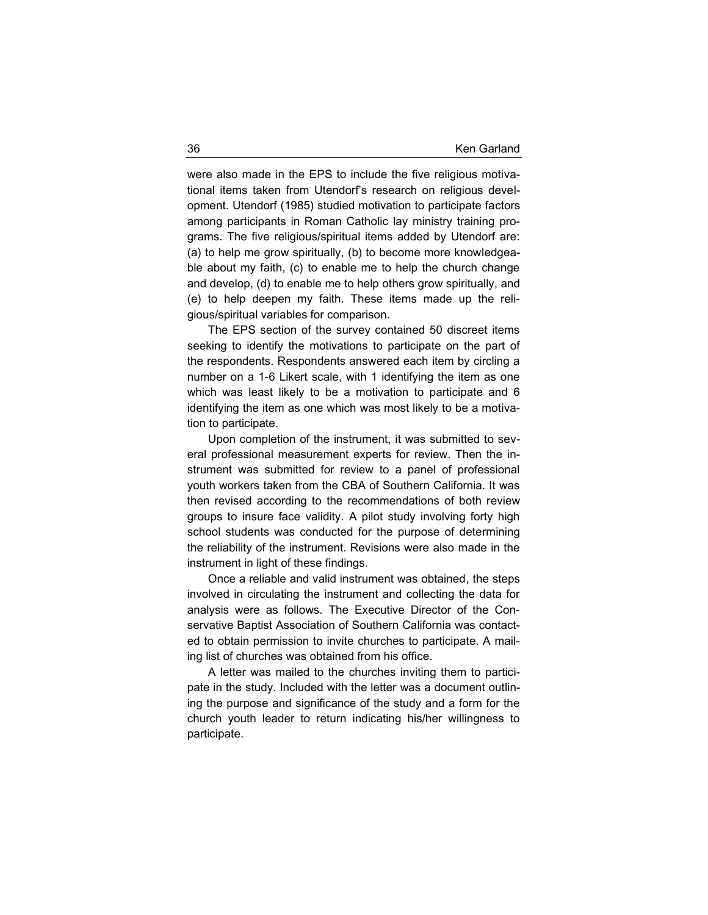were also made in the EPS to include the five religious motivational items taken from Utendorf's research on religious development. Utendorf (1985) studied motivation to participate factors among participants in Roman Catholic lay ministry training programs. The five religious/spiritual items added by Utendorf are: (a) to help me grow spiritually, (b) to become more knowledgeable about my faith, (c) to enable me to help the church change and develop, (d) to enable me to help others grow spiritually, and (e) to help deepen my faith. These items made up the religious/spiritual variables for comparison.

The EPS section of the survey contained 50 discreet items seeking to identify the motivations to participate on the part of the respondents. Respondents answered each item by circling a number on a 1-6 Likert scale, with 1 identifying the item as one which was least likely to be a motivation to participate and 6 identifying the item as one which was most likely to be a motivation to participate.

Upon completion of the instrument, it was submitted to several professional measurement experts for review. Then the instrument was submitted for review to a panel of professional youth workers taken from the CBA of Southern California. It was then revised according to the recommendations of both review groups to insure face validity. A pilot study involving forty high school students was conducted for the purpose of determining the reliability of the instrument. Revisions were also made in the instrument in light of these findings.

Once a reliable and valid instrument was obtained, the steps involved in circulating the instrument and collecting the data for analysis were as follows. The Executive Director of the Conservative Baptist Association of Southern California was contacted to obtain permission to invite churches to participate. A mailing list of churches was obtained from his office.

A letter was mailed to the churches inviting them to participate in the study. Included with the letter was a document outlining the purpose and significance of the study and a form for the church youth leader to return indicating his/her willingness to participate.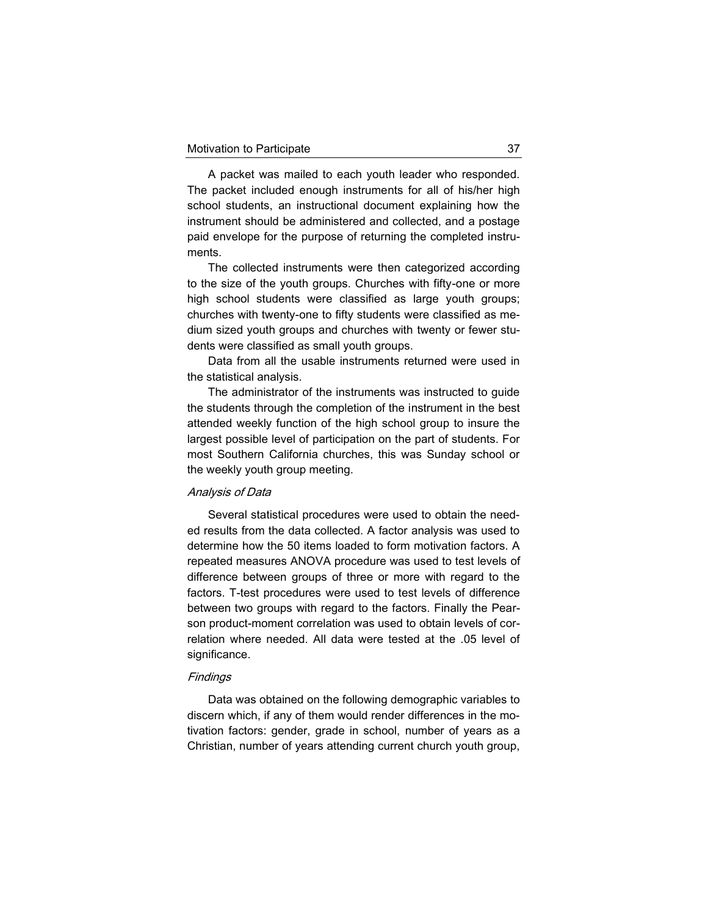A packet was mailed to each youth leader who responded. The packet included enough instruments for all of his/her high school students, an instructional document explaining how the instrument should be administered and collected, and a postage paid envelope for the purpose of returning the completed instruments.

The collected instruments were then categorized according to the size of the youth groups. Churches with fifty-one or more high school students were classified as large youth groups; churches with twenty-one to fifty students were classified as medium sized youth groups and churches with twenty or fewer students were classified as small youth groups.

Data from all the usable instruments returned were used in the statistical analysis.

The administrator of the instruments was instructed to guide the students through the completion of the instrument in the best attended weekly function of the high school group to insure the largest possible level of participation on the part of students. For most Southern California churches, this was Sunday school or the weekly youth group meeting.

#### Analysis of Data

Several statistical procedures were used to obtain the needed results from the data collected. A factor analysis was used to determine how the 50 items loaded to form motivation factors. A repeated measures ANOVA procedure was used to test levels of difference between groups of three or more with regard to the factors. T-test procedures were used to test levels of difference between two groups with regard to the factors. Finally the Pearson product-moment correlation was used to obtain levels of correlation where needed. All data were tested at the .05 level of significance.

#### **Findings**

Data was obtained on the following demographic variables to discern which, if any of them would render differences in the motivation factors: gender, grade in school, number of years as a Christian, number of years attending current church youth group,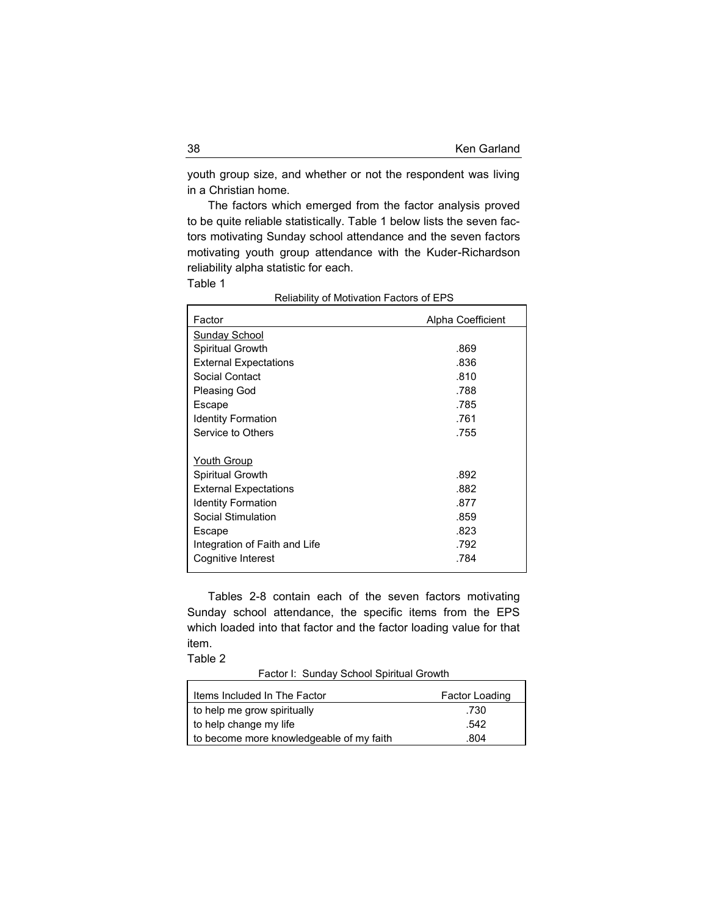youth group size, and whether or not the respondent was living in a Christian home.

The factors which emerged from the factor analysis proved to be quite reliable statistically. Table 1 below lists the seven factors motivating Sunday school attendance and the seven factors motivating youth group attendance with the Kuder-Richardson reliability alpha statistic for each.

Table 1

| Factor                        | Alpha Coefficient |
|-------------------------------|-------------------|
| Sunday School                 |                   |
| Spiritual Growth              | .869              |
| <b>External Expectations</b>  | .836              |
| Social Contact                | .810              |
| Pleasing God                  | .788              |
| Escape                        | .785              |
| <b>Identity Formation</b>     | .761              |
| Service to Others             | .755              |
|                               |                   |
| Youth Group                   |                   |
| Spiritual Growth              | .892              |
| <b>External Expectations</b>  | .882              |
| <b>Identity Formation</b>     | .877              |
| Social Stimulation            | .859              |
| Escape                        | .823              |
| Integration of Faith and Life | .792              |
| Cognitive Interest            | .784              |
|                               |                   |

Reliability of Motivation Factors of EPS

Tables 2-8 contain each of the seven factors motivating Sunday school attendance, the specific items from the EPS which loaded into that factor and the factor loading value for that item.

Table 2

Factor I: Sunday School Spiritual Growth

| Items Included In The Factor             | Factor Loading |
|------------------------------------------|----------------|
| to help me grow spiritually              | .730           |
| to help change my life                   | .542           |
| to become more knowledgeable of my faith | .804           |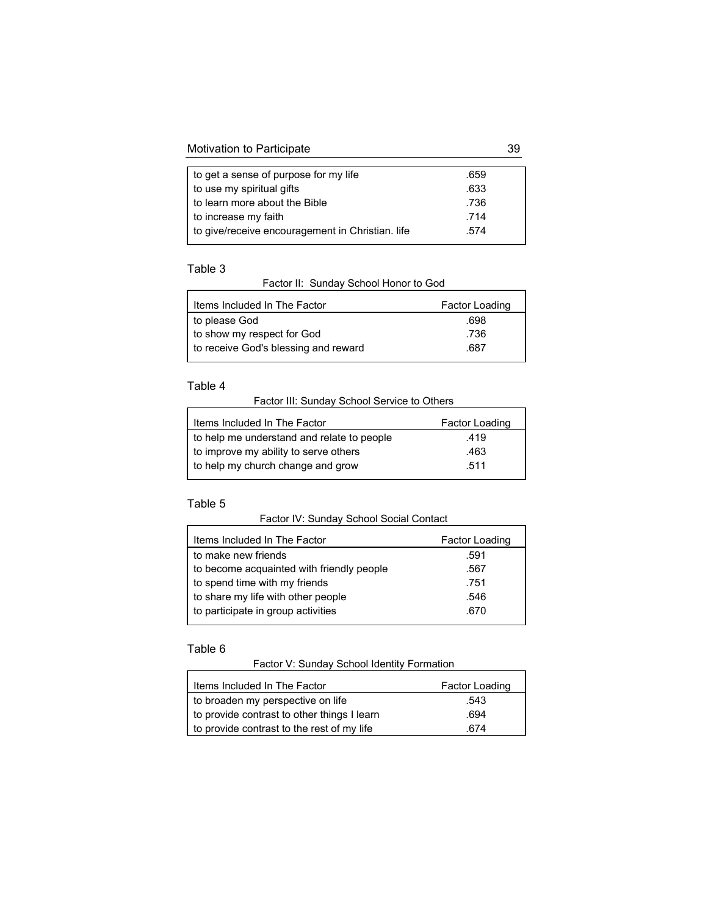# Motivation to Participate 39

| to get a sense of purpose for my life            | .659 |
|--------------------------------------------------|------|
| to use my spiritual gifts                        | .633 |
| to learn more about the Bible                    | .736 |
| to increase my faith                             | .714 |
| to give/receive encouragement in Christian. life | .574 |
|                                                  |      |

## Table 3

 $\Gamma$ 

Factor II: Sunday School Honor to God

| Items Included In The Factor         | Factor Loading |
|--------------------------------------|----------------|
| to please God                        | .698           |
| to show my respect for God           | .736           |
| to receive God's blessing and reward | .687           |
|                                      |                |

## Table 4

Factor III: Sunday School Service to Others

| Items Included In The Factor               | Factor Loading |  |
|--------------------------------------------|----------------|--|
| to help me understand and relate to people | .419           |  |
| to improve my ability to serve others      | .463           |  |
| to help my church change and grow          | .511           |  |
|                                            |                |  |

# Table 5

 $\blacksquare$ 

Factor IV: Sunday School Social Contact

| Items Included In The Factor              | Factor Loading |
|-------------------------------------------|----------------|
| to make new friends                       | .591           |
| to become acquainted with friendly people | .567           |
| to spend time with my friends             | .751           |
| to share my life with other people        | .546           |
| to participate in group activities        | .670           |

# Table 6

 $\blacksquare$ 

# Factor V: Sunday School Identity Formation

| Items Included In The Factor                | Factor Loading |
|---------------------------------------------|----------------|
| to broaden my perspective on life           | .543           |
| to provide contrast to other things I learn | .694           |
| to provide contrast to the rest of my life  | 674            |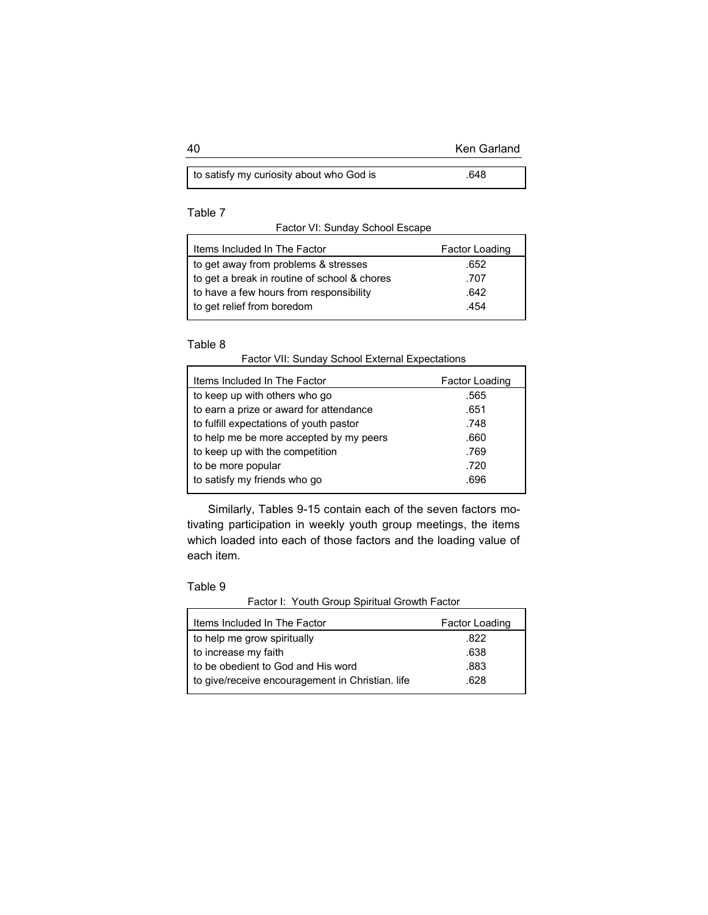| 40 | <b>Ken Garland</b> |
|----|--------------------|
|    |                    |

| to satisfy my curiosity about who God is | 648 |
|------------------------------------------|-----|
|------------------------------------------|-----|

# Table 7

Factor VI: Sunday School Escape

| Items Included In The Factor                 | Factor Loading |
|----------------------------------------------|----------------|
| to get away from problems & stresses         | .652           |
| to get a break in routine of school & chores | .707           |
| to have a few hours from responsibility      | .642           |
| to get relief from boredom                   | .454           |
|                                              |                |

# Table 8

| Factor VII: Sunday School External Expectations |  |
|-------------------------------------------------|--|
|-------------------------------------------------|--|

| Factor Loading |
|----------------|
| .565           |
| .651           |
| .748           |
| .660           |
| .769           |
| .720           |
| .696           |
|                |

Similarly, Tables 9-15 contain each of the seven factors motivating participation in weekly youth group meetings, the items which loaded into each of those factors and the loading value of each item.

## Table 9

Factor I: Youth Group Spiritual Growth Factor

| Items Included In The Factor                     | Factor Loading |
|--------------------------------------------------|----------------|
| to help me grow spiritually                      | .822           |
| to increase my faith                             | .638           |
| to be obedient to God and His word               | .883           |
| to give/receive encouragement in Christian. life | .628           |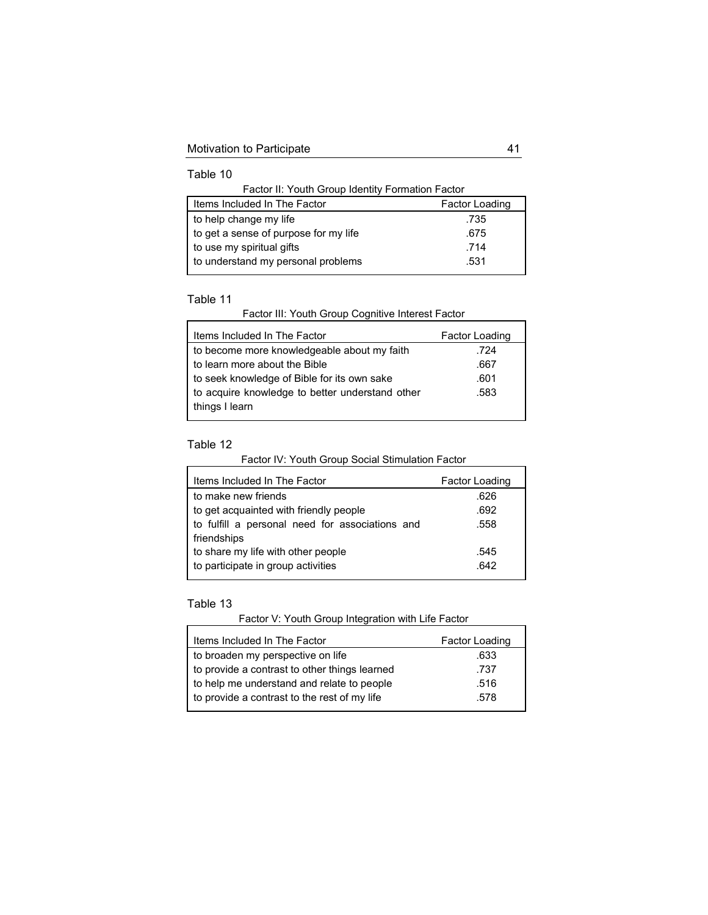Table 10

Factor II: Youth Group Identity Formation Factor

| Items Included In The Factor          | <b>Factor Loading</b> |
|---------------------------------------|-----------------------|
| to help change my life                | .735                  |
| to get a sense of purpose for my life | .675                  |
| to use my spiritual gifts             | .714                  |
| to understand my personal problems    | .531                  |

## Table 11

Factor III: Youth Group Cognitive Interest Factor

# Table 12

Factor IV: Youth Group Social Stimulation Factor

| Items Included In The Factor                    | Factor Loading |
|-------------------------------------------------|----------------|
| to make new friends                             | .626           |
| to get acquainted with friendly people          | .692           |
| to fulfill a personal need for associations and | .558           |
| friendships                                     |                |
| to share my life with other people              | .545           |
| to participate in group activities              | .642           |

## Table 13

Factor V: Youth Group Integration with Life Factor

| Items Included In The Factor                  | Factor Loading |
|-----------------------------------------------|----------------|
| to broaden my perspective on life             | .633           |
| to provide a contrast to other things learned | .737           |
| to help me understand and relate to people    | .516           |
| to provide a contrast to the rest of my life  | .578           |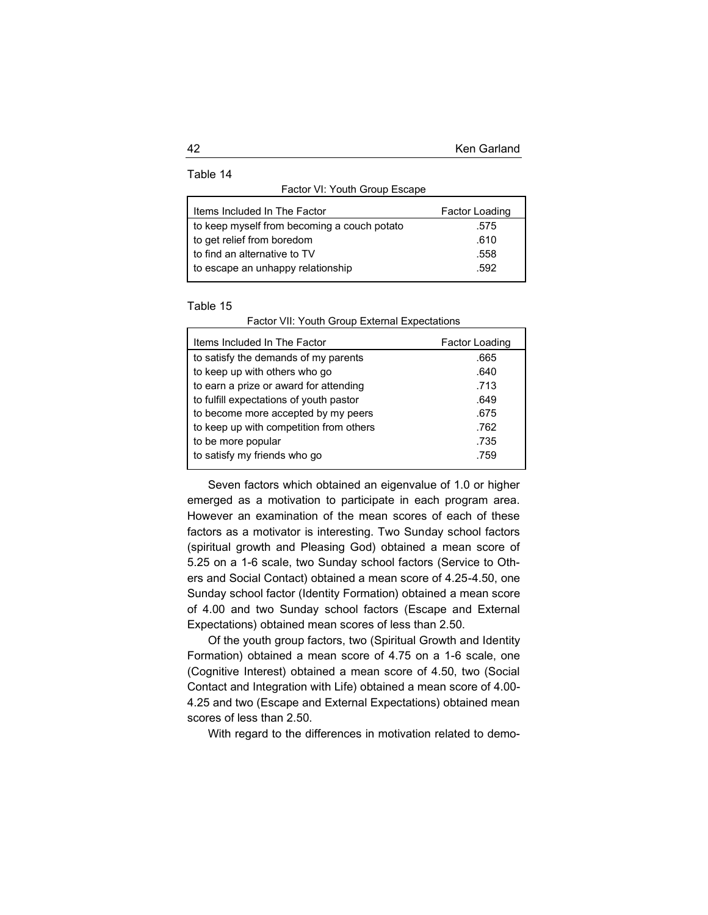Table 14

| Factor VI: Youth Group Escape |
|-------------------------------|
|-------------------------------|

| Items Included In The Factor                | Factor Loading |
|---------------------------------------------|----------------|
| to keep myself from becoming a couch potato | .575           |
| to get relief from boredom                  | .610           |
| to find an alternative to TV                | .558           |
| to escape an unhappy relationship           | .592           |

## Table 15

| Items Included In The Factor            | Factor Loading |
|-----------------------------------------|----------------|
| to satisfy the demands of my parents    | .665           |
| to keep up with others who go           | .640           |
| to earn a prize or award for attending  | .713           |
| to fulfill expectations of youth pastor | .649           |
| to become more accepted by my peers     | .675           |
| to keep up with competition from others | .762           |
| to be more popular                      | .735           |
| to satisfy my friends who go            | .759           |

Factor VII: Youth Group External Expectations

Seven factors which obtained an eigenvalue of 1.0 or higher emerged as a motivation to participate in each program area. However an examination of the mean scores of each of these factors as a motivator is interesting. Two Sunday school factors (spiritual growth and Pleasing God) obtained a mean score of 5.25 on a 1-6 scale, two Sunday school factors (Service to Others and Social Contact) obtained a mean score of 4.25-4.50, one Sunday school factor (Identity Formation) obtained a mean score of 4.00 and two Sunday school factors (Escape and External Expectations) obtained mean scores of less than 2.50.

Of the youth group factors, two (Spiritual Growth and Identity Formation) obtained a mean score of 4.75 on a 1-6 scale, one (Cognitive Interest) obtained a mean score of 4.50, two (Social Contact and Integration with Life) obtained a mean score of 4.00- 4.25 and two (Escape and External Expectations) obtained mean scores of less than 2.50.

With regard to the differences in motivation related to demo-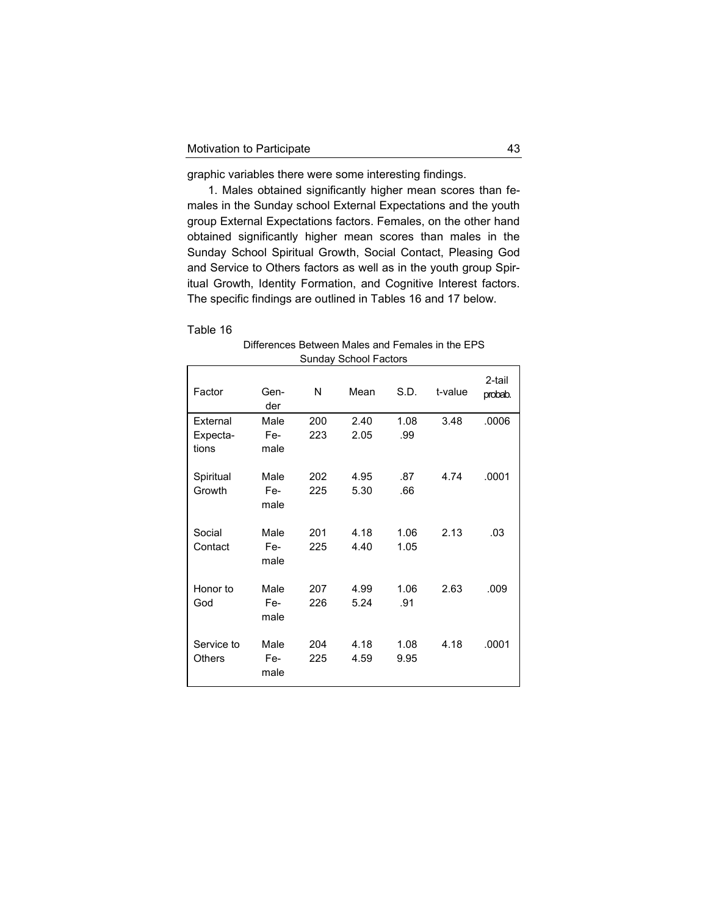graphic variables there were some interesting findings.

1. Males obtained significantly higher mean scores than females in the Sunday school External Expectations and the youth group External Expectations factors. Females, on the other hand obtained significantly higher mean scores than males in the Sunday School Spiritual Growth, Social Contact, Pleasing God and Service to Others factors as well as in the youth group Spiritual Growth, Identity Formation, and Cognitive Interest factors. The specific findings are outlined in Tables 16 and 17 below.

## Table 16

 $\mathbf{r}$ 

Differences Between Males and Females in the EPS Sunday School Factors

| Factor                        | Gen-<br>der         | N          | Mean         | S.D.         | t-value | 2-tail<br>probab. |
|-------------------------------|---------------------|------------|--------------|--------------|---------|-------------------|
| External<br>Expecta-<br>tions | Male<br>Fe-<br>male | 200<br>223 | 2.40<br>2.05 | 1.08<br>.99  | 3.48    | .0006             |
| Spiritual<br>Growth           | Male<br>Fe-<br>male | 202<br>225 | 4.95<br>5.30 | .87<br>.66   | 4.74    | .0001             |
| Social<br>Contact             | Male<br>Fe-<br>male | 201<br>225 | 4.18<br>4.40 | 1.06<br>1.05 | 2.13    | .03               |
| Honor to<br>God               | Male<br>Fe-<br>male | 207<br>226 | 4.99<br>5.24 | 1.06<br>.91  | 2.63    | .009              |
| Service to<br>Others          | Male<br>Fe-<br>male | 204<br>225 | 4.18<br>4.59 | 1.08<br>9.95 | 4.18    | .0001             |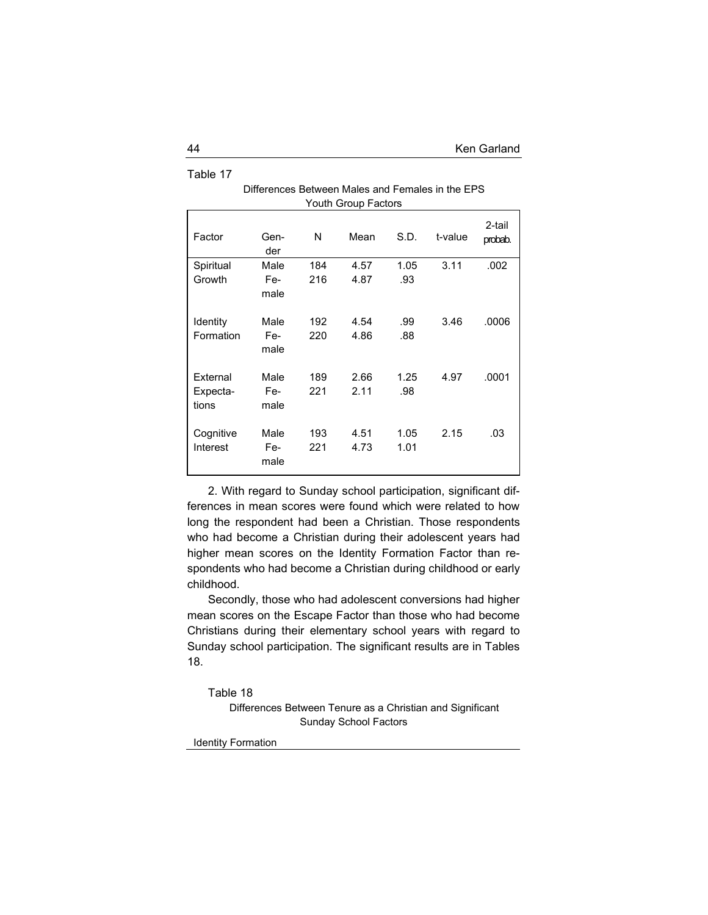|                       |                     |            | Youth Group Factors |              |         |                   |
|-----------------------|---------------------|------------|---------------------|--------------|---------|-------------------|
| Factor                | Gen-<br>der         | N          | Mean                | S.D.         | t-value | 2-tail<br>probab. |
| Spiritual             | Male                | 184        | 4.57                | 1.05         | 3.11    | .002              |
| Growth                | Fe-<br>male         | 216        | 4.87                | .93          |         |                   |
| Identity              | Male                | 192        | 4.54                | .99          | 3.46    | .0006             |
| Formation             | Fe-<br>male         | 220        | 4.86                | .88          |         |                   |
| External              | Male                | 189        | 2.66                | 1.25         | 4.97    | .0001             |
| Expecta-<br>tions     | Fe-<br>male         | 221        | 2.11                | .98          |         |                   |
| Cognitive<br>Interest | Male<br>Fe-<br>male | 193<br>221 | 4.51<br>4.73        | 1.05<br>1.01 | 2.15    | .03               |

# Differences Between Males and Females in the EPS Youth Group Factors

2. With regard to Sunday school participation, significant differences in mean scores were found which were related to how long the respondent had been a Christian. Those respondents who had become a Christian during their adolescent years had higher mean scores on the Identity Formation Factor than respondents who had become a Christian during childhood or early childhood.

Secondly, those who had adolescent conversions had higher mean scores on the Escape Factor than those who had become Christians during their elementary school years with regard to Sunday school participation. The significant results are in Tables 18.

Table 18

Differences Between Tenure as a Christian and Significant Sunday School Factors

Identity Formation

Table 17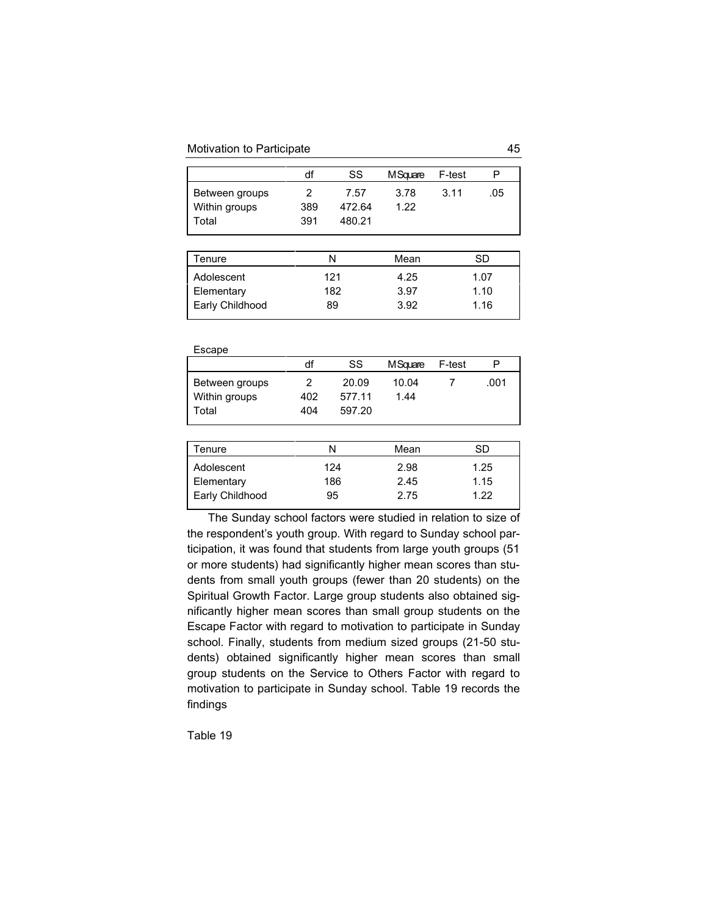#### Motivation to Participate 45

|                                 | df  | SS             | M Square     | F-test |     |
|---------------------------------|-----|----------------|--------------|--------|-----|
| Between groups<br>Within groups | 389 | 7.57<br>472.64 | 3.78<br>1.22 | 3.11   | .05 |
| Total                           | 391 | 480.21         |              |        |     |

| N   | Mean | SD   |
|-----|------|------|
| 121 | 4.25 | 1.07 |
| 182 | 3.97 | 1.10 |
| 89  | 3.92 | 1.16 |
|     |      |      |

| Escape                                   |                 |                           |               |        |      |
|------------------------------------------|-----------------|---------------------------|---------------|--------|------|
|                                          | df              | SS                        | M Square      | F-test | Р    |
| Between groups<br>Within groups<br>Total | 2<br>402<br>404 | 20.09<br>577.11<br>597.20 | 10.04<br>1.44 |        | .001 |

| <sup>-</sup> enure | N   | Mean | SD   |  |
|--------------------|-----|------|------|--|
| Adolescent         | 124 | 2.98 | 1.25 |  |
| Elementary         | 186 | 2.45 | 1.15 |  |
| Early Childhood    | 95  | 2.75 | 1 22 |  |
|                    |     |      |      |  |

The Sunday school factors were studied in relation to size of the respondent's youth group. With regard to Sunday school participation, it was found that students from large youth groups (51 or more students) had significantly higher mean scores than students from small youth groups (fewer than 20 students) on the Spiritual Growth Factor. Large group students also obtained significantly higher mean scores than small group students on the Escape Factor with regard to motivation to participate in Sunday school. Finally, students from medium sized groups (21-50 students) obtained significantly higher mean scores than small group students on the Service to Others Factor with regard to motivation to participate in Sunday school. Table 19 records the findings

Table 19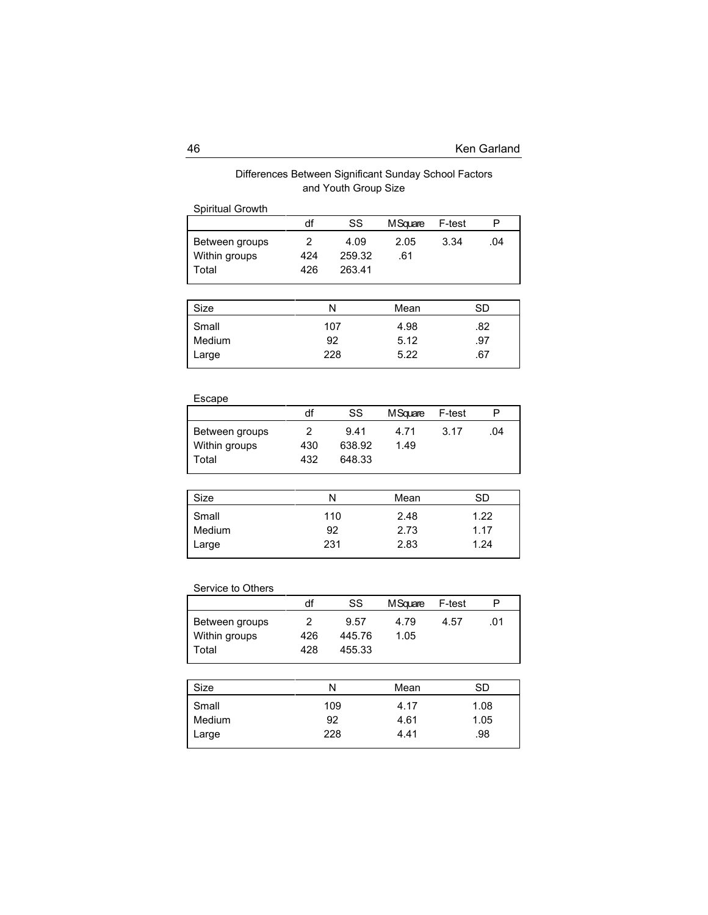# Differences Between Significant Sunday School Factors and Youth Group Size

| Spiritual Growth                         |                 |                          |             |        |     |
|------------------------------------------|-----------------|--------------------------|-------------|--------|-----|
|                                          | df              | SS                       | M Square    | F-test |     |
| Between groups<br>Within groups<br>Total | 2<br>424<br>426 | 4.09<br>259.32<br>263.41 | 2.05<br>.61 | 3.34   | .04 |
|                                          |                 |                          |             |        |     |

| Size                     | Ν                | Mean                 | SD                |
|--------------------------|------------------|----------------------|-------------------|
| Small<br>Medium<br>Large | 107<br>92<br>228 | 4.98<br>5.12<br>5.22 | .82<br>.97<br>.67 |
|                          |                  |                      |                   |

# Escape

|                | df  | SS     | MSquare F-test |      | Р   |
|----------------|-----|--------|----------------|------|-----|
| Between groups | 2   | 9.41   | 4.71           | 3.17 | .04 |
| Within groups  | 430 | 638.92 | 1.49           |      |     |
| Total          | 432 | 648.33 |                |      |     |

| Size   | Ν   | Mean | SD   |
|--------|-----|------|------|
| Small  | 110 | 2.48 | 1.22 |
| Medium | 92  | 2.73 | 1.17 |
| Large  | 231 | 2.83 | 1.24 |
|        |     |      |      |

# Service to Others

|                | df  | SS     | M Square | F-test |     |
|----------------|-----|--------|----------|--------|-----|
| Between groups | 2   | 9.57   | 4.79     | 4.57   | .01 |
| Within groups  | 426 | 445.76 | 1.05     |        |     |
| Total          | 428 | 455.33 |          |        |     |

| Size   | Ν   | Mean | SD   |
|--------|-----|------|------|
| Small  | 109 | 4.17 | 1.08 |
| Medium | 92  | 4.61 | 1.05 |
| Large  | 228 | 4.41 | .98  |
|        |     |      |      |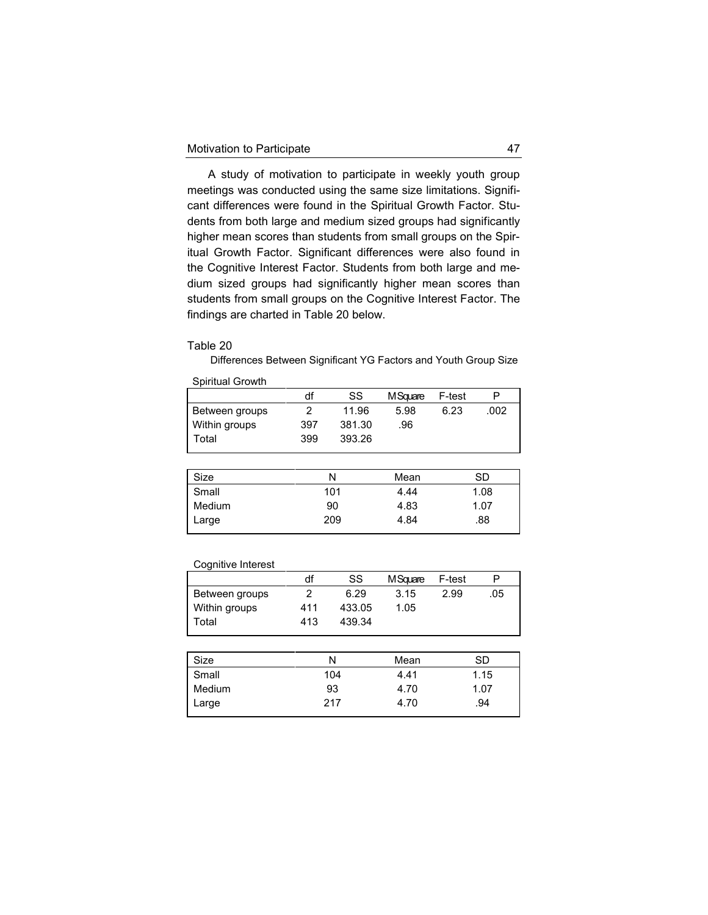A study of motivation to participate in weekly youth group meetings was conducted using the same size limitations. Significant differences were found in the Spiritual Growth Factor. Students from both large and medium sized groups had significantly higher mean scores than students from small groups on the Spiritual Growth Factor. Significant differences were also found in the Cognitive Interest Factor. Students from both large and medium sized groups had significantly higher mean scores than students from small groups on the Cognitive Interest Factor. The findings are charted in Table 20 below.

## Table 20

Spiritual Growth

Differences Between Significant YG Factors and Youth Group Size

|                | df  | SS     | M Square | F-test | P    |
|----------------|-----|--------|----------|--------|------|
| Between groups |     | 11.96  | 5.98     | 6.23   | .002 |
| Within groups  | 397 | 381.30 | .96      |        |      |
| Total          | 399 | 393.26 |          |        |      |
|                |     |        |          |        |      |

| Size   | N   | Mean | SD   |
|--------|-----|------|------|
| Small  | 101 | 4.44 | 1.08 |
| Medium | 90  | 4.83 | 1.07 |
| Large  | 209 | 4.84 | .88  |
|        |     |      |      |

#### Cognitive Interest

|                | df  | SS     | M Square | F-test | P   |
|----------------|-----|--------|----------|--------|-----|
| Between groups |     | 6.29   | 3.15     | 2.99   | .05 |
| Within groups  | 411 | 433.05 | 1.05     |        |     |
| Total          | 413 | 439.34 |          |        |     |

| Size          | Ν   | Mean | SD   |
|---------------|-----|------|------|
| Small         | 104 | 4.41 | 1.15 |
| <b>Medium</b> | 93  | 4.70 | 1.07 |
| Large         | 217 | 4.70 | .94  |
|               |     |      |      |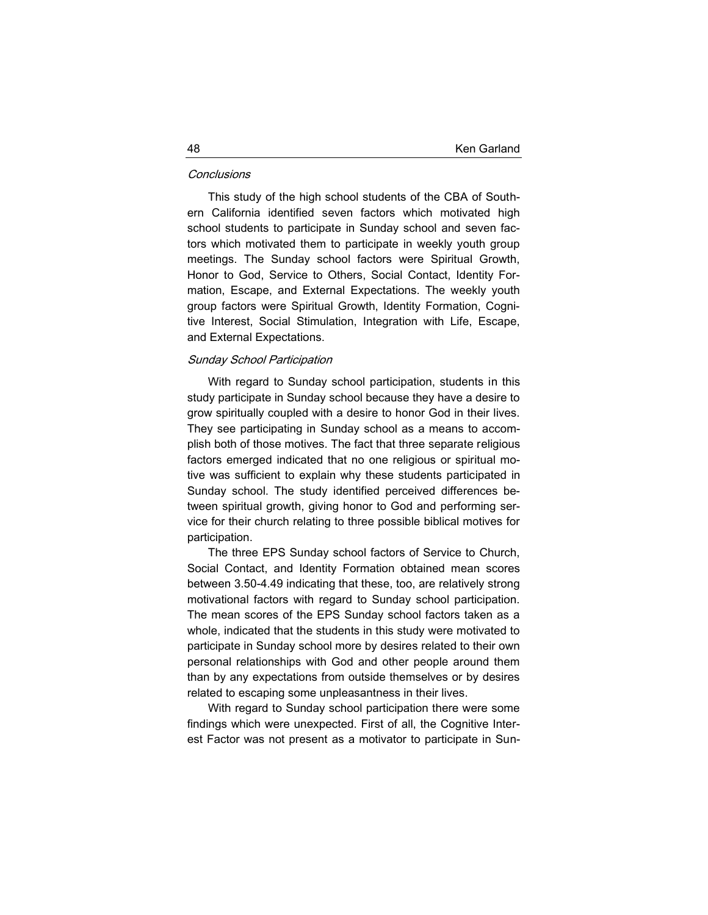#### **Conclusions**

This study of the high school students of the CBA of Southern California identified seven factors which motivated high school students to participate in Sunday school and seven factors which motivated them to participate in weekly youth group meetings. The Sunday school factors were Spiritual Growth, Honor to God, Service to Others, Social Contact, Identity Formation, Escape, and External Expectations. The weekly youth group factors were Spiritual Growth, Identity Formation, Cognitive Interest, Social Stimulation, Integration with Life, Escape, and External Expectations.

## Sunday School Participation

With regard to Sunday school participation, students in this study participate in Sunday school because they have a desire to grow spiritually coupled with a desire to honor God in their lives. They see participating in Sunday school as a means to accomplish both of those motives. The fact that three separate religious factors emerged indicated that no one religious or spiritual motive was sufficient to explain why these students participated in Sunday school. The study identified perceived differences between spiritual growth, giving honor to God and performing service for their church relating to three possible biblical motives for participation.

The three EPS Sunday school factors of Service to Church, Social Contact, and Identity Formation obtained mean scores between 3.50-4.49 indicating that these, too, are relatively strong motivational factors with regard to Sunday school participation. The mean scores of the EPS Sunday school factors taken as a whole, indicated that the students in this study were motivated to participate in Sunday school more by desires related to their own personal relationships with God and other people around them than by any expectations from outside themselves or by desires related to escaping some unpleasantness in their lives.

With regard to Sunday school participation there were some findings which were unexpected. First of all, the Cognitive Interest Factor was not present as a motivator to participate in Sun-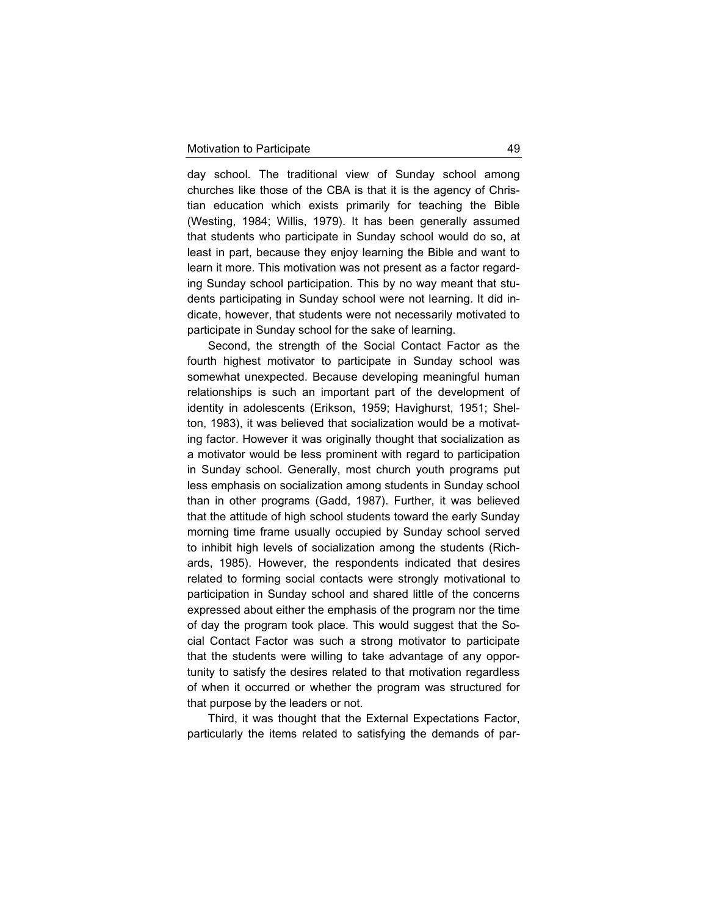day school. The traditional view of Sunday school among churches like those of the CBA is that it is the agency of Christian education which exists primarily for teaching the Bible (Westing, 1984; Willis, 1979). It has been generally assumed that students who participate in Sunday school would do so, at least in part, because they enjoy learning the Bible and want to learn it more. This motivation was not present as a factor regarding Sunday school participation. This by no way meant that students participating in Sunday school were not learning. It did indicate, however, that students were not necessarily motivated to participate in Sunday school for the sake of learning.

Second, the strength of the Social Contact Factor as the fourth highest motivator to participate in Sunday school was somewhat unexpected. Because developing meaningful human relationships is such an important part of the development of identity in adolescents (Erikson, 1959; Havighurst, 1951; Shelton, 1983), it was believed that socialization would be a motivating factor. However it was originally thought that socialization as a motivator would be less prominent with regard to participation in Sunday school. Generally, most church youth programs put less emphasis on socialization among students in Sunday school than in other programs (Gadd, 1987). Further, it was believed that the attitude of high school students toward the early Sunday morning time frame usually occupied by Sunday school served to inhibit high levels of socialization among the students (Richards, 1985). However, the respondents indicated that desires related to forming social contacts were strongly motivational to participation in Sunday school and shared little of the concerns expressed about either the emphasis of the program nor the time of day the program took place. This would suggest that the Social Contact Factor was such a strong motivator to participate that the students were willing to take advantage of any opportunity to satisfy the desires related to that motivation regardless of when it occurred or whether the program was structured for that purpose by the leaders or not.

Third, it was thought that the External Expectations Factor, particularly the items related to satisfying the demands of par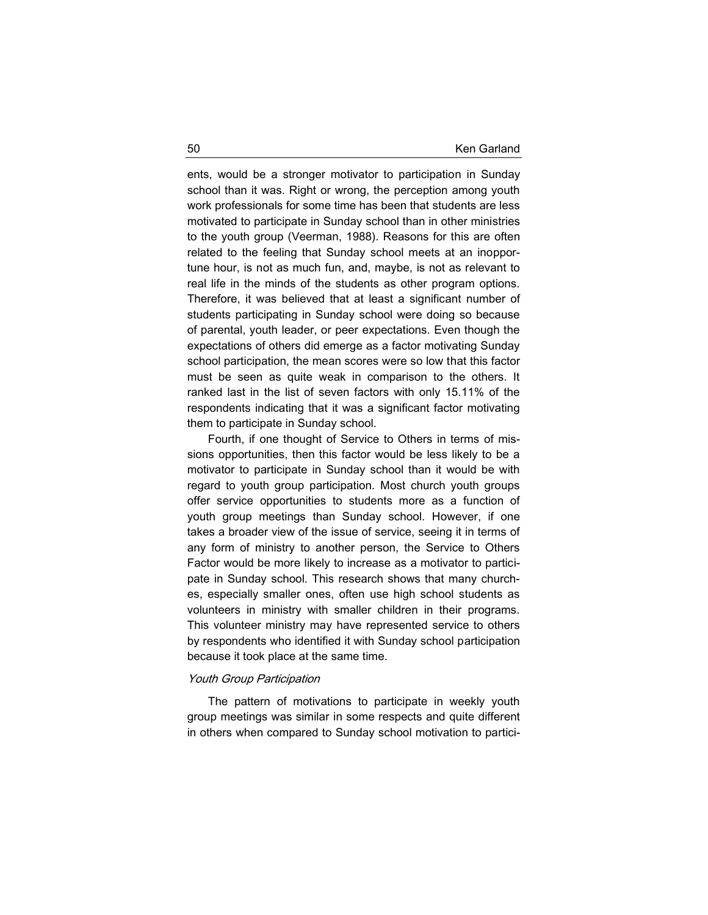ents, would be a stronger motivator to participation in Sunday school than it was. Right or wrong, the perception among youth work professionals for some time has been that students are less motivated to participate in Sunday school than in other ministries to the youth group (Veerman, 1988). Reasons for this are often related to the feeling that Sunday school meets at an inopportune hour, is not as much fun, and, maybe, is not as relevant to real life in the minds of the students as other program options. Therefore, it was believed that at least a significant number of students participating in Sunday school were doing so because of parental, youth leader, or peer expectations. Even though the expectations of others did emerge as a factor motivating Sunday school participation, the mean scores were so low that this factor must be seen as quite weak in comparison to the others. It ranked last in the list of seven factors with only 15.11% of the respondents indicating that it was a significant factor motivating them to participate in Sunday school.

Fourth, if one thought of Service to Others in terms of missions opportunities, then this factor would be less likely to be a motivator to participate in Sunday school than it would be with regard to youth group participation. Most church youth groups offer service opportunities to students more as a function of youth group meetings than Sunday school. However, if one takes a broader view of the issue of service, seeing it in terms of any form of ministry to another person, the Service to Others Factor would be more likely to increase as a motivator to participate in Sunday school. This research shows that many churches, especially smaller ones, often use high school students as volunteers in ministry with smaller children in their programs. This volunteer ministry may have represented service to others by respondents who identified it with Sunday school participation because it took place at the same time.

## Youth Group Participation

The pattern of motivations to participate in weekly youth group meetings was similar in some respects and quite different in others when compared to Sunday school motivation to partici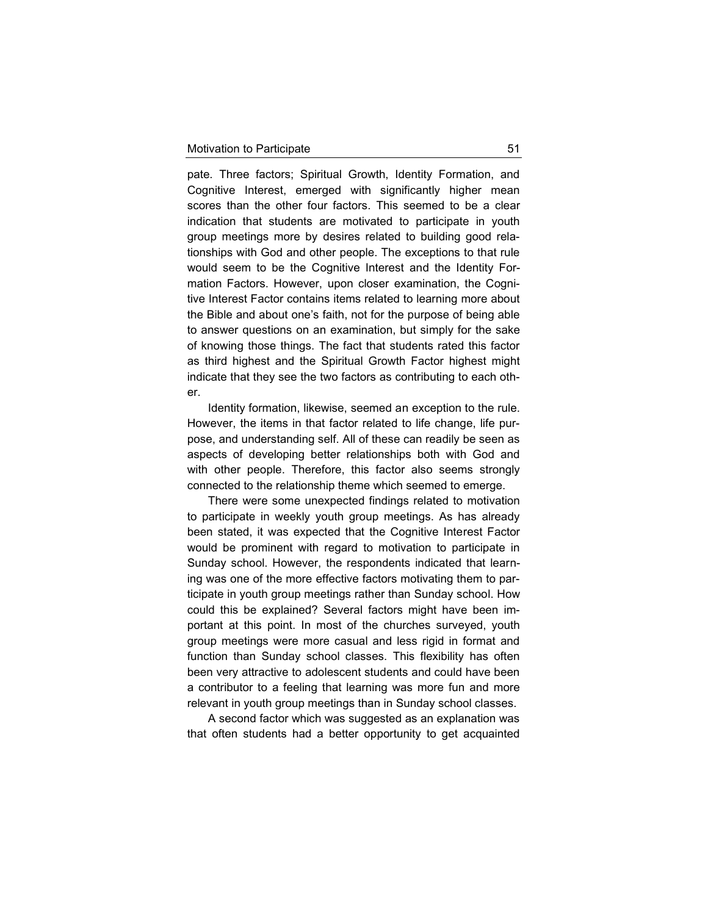pate. Three factors; Spiritual Growth, Identity Formation, and Cognitive Interest, emerged with significantly higher mean scores than the other four factors. This seemed to be a clear indication that students are motivated to participate in youth group meetings more by desires related to building good relationships with God and other people. The exceptions to that rule would seem to be the Cognitive Interest and the Identity Formation Factors. However, upon closer examination, the Cognitive Interest Factor contains items related to learning more about the Bible and about one's faith, not for the purpose of being able to answer questions on an examination, but simply for the sake of knowing those things. The fact that students rated this factor as third highest and the Spiritual Growth Factor highest might indicate that they see the two factors as contributing to each other.

Identity formation, likewise, seemed an exception to the rule. However, the items in that factor related to life change, life purpose, and understanding self. All of these can readily be seen as aspects of developing better relationships both with God and with other people. Therefore, this factor also seems strongly connected to the relationship theme which seemed to emerge.

There were some unexpected findings related to motivation to participate in weekly youth group meetings. As has already been stated, it was expected that the Cognitive Interest Factor would be prominent with regard to motivation to participate in Sunday school. However, the respondents indicated that learning was one of the more effective factors motivating them to participate in youth group meetings rather than Sunday school. How could this be explained? Several factors might have been important at this point. In most of the churches surveyed, youth group meetings were more casual and less rigid in format and function than Sunday school classes. This flexibility has often been very attractive to adolescent students and could have been a contributor to a feeling that learning was more fun and more relevant in youth group meetings than in Sunday school classes.

A second factor which was suggested as an explanation was that often students had a better opportunity to get acquainted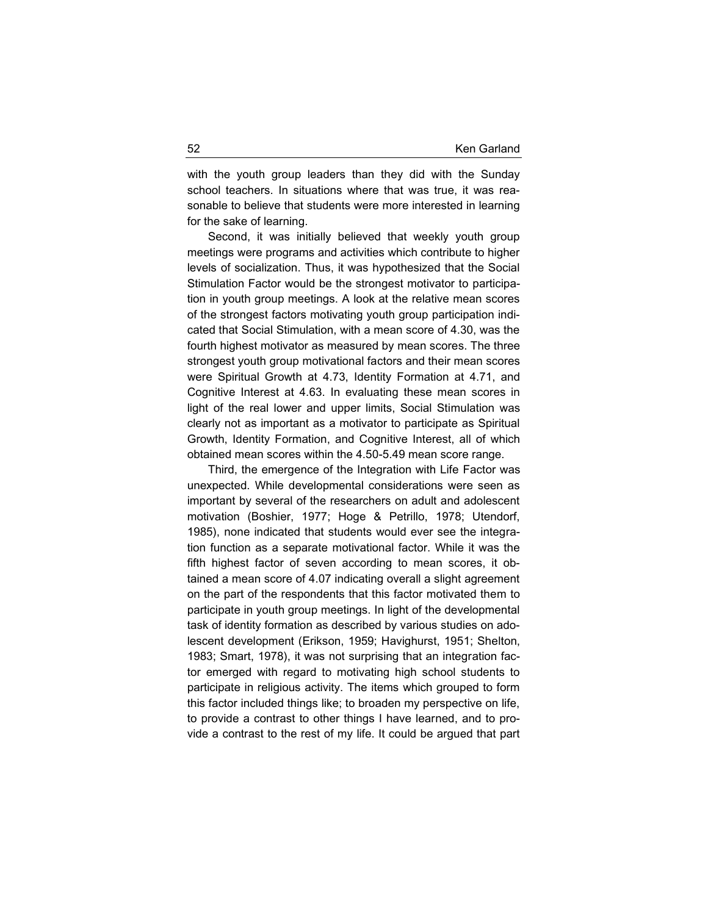with the youth group leaders than they did with the Sunday school teachers. In situations where that was true, it was reasonable to believe that students were more interested in learning for the sake of learning.

Second, it was initially believed that weekly youth group meetings were programs and activities which contribute to higher levels of socialization. Thus, it was hypothesized that the Social Stimulation Factor would be the strongest motivator to participation in youth group meetings. A look at the relative mean scores of the strongest factors motivating youth group participation indicated that Social Stimulation, with a mean score of 4.30, was the fourth highest motivator as measured by mean scores. The three strongest youth group motivational factors and their mean scores were Spiritual Growth at 4.73, Identity Formation at 4.71, and Cognitive Interest at 4.63. In evaluating these mean scores in light of the real lower and upper limits, Social Stimulation was clearly not as important as a motivator to participate as Spiritual Growth, Identity Formation, and Cognitive Interest, all of which obtained mean scores within the 4.50-5.49 mean score range.

Third, the emergence of the Integration with Life Factor was unexpected. While developmental considerations were seen as important by several of the researchers on adult and adolescent motivation (Boshier, 1977; Hoge & Petrillo, 1978; Utendorf, 1985), none indicated that students would ever see the integration function as a separate motivational factor. While it was the fifth highest factor of seven according to mean scores, it obtained a mean score of 4.07 indicating overall a slight agreement on the part of the respondents that this factor motivated them to participate in youth group meetings. In light of the developmental task of identity formation as described by various studies on adolescent development (Erikson, 1959; Havighurst, 1951; Shelton, 1983; Smart, 1978), it was not surprising that an integration factor emerged with regard to motivating high school students to participate in religious activity. The items which grouped to form this factor included things like; to broaden my perspective on life, to provide a contrast to other things I have learned, and to provide a contrast to the rest of my life. It could be argued that part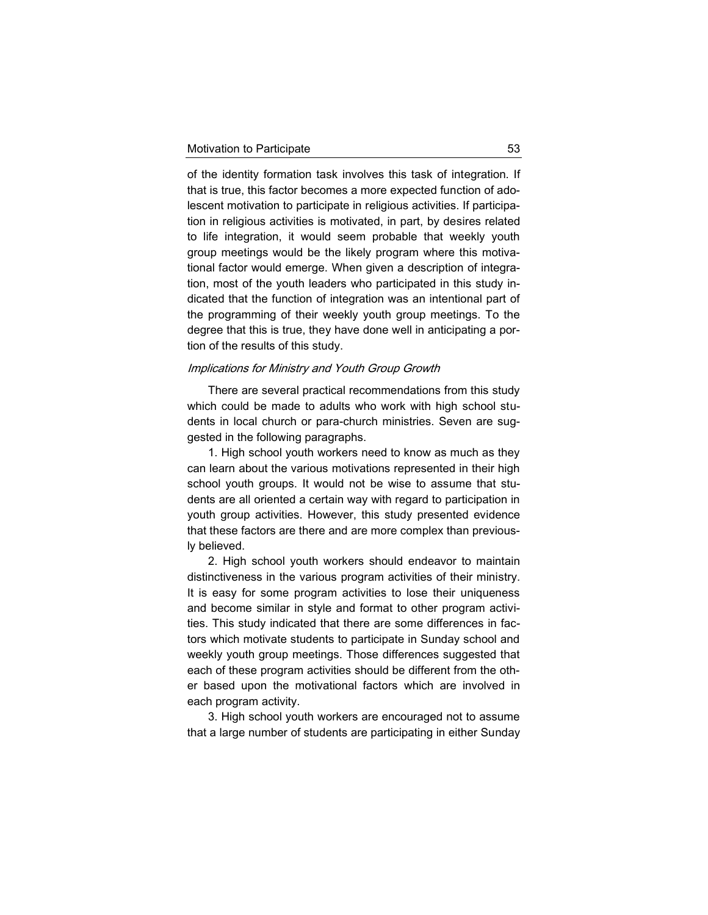of the identity formation task involves this task of integration. If that is true, this factor becomes a more expected function of adolescent motivation to participate in religious activities. If participation in religious activities is motivated, in part, by desires related to life integration, it would seem probable that weekly youth group meetings would be the likely program where this motivational factor would emerge. When given a description of integration, most of the youth leaders who participated in this study indicated that the function of integration was an intentional part of the programming of their weekly youth group meetings. To the degree that this is true, they have done well in anticipating a portion of the results of this study.

#### Implications for Ministry and Youth Group Growth

There are several practical recommendations from this study which could be made to adults who work with high school students in local church or para-church ministries. Seven are suggested in the following paragraphs.

1. High school youth workers need to know as much as they can learn about the various motivations represented in their high school youth groups. It would not be wise to assume that students are all oriented a certain way with regard to participation in youth group activities. However, this study presented evidence that these factors are there and are more complex than previously believed.

2. High school youth workers should endeavor to maintain distinctiveness in the various program activities of their ministry. It is easy for some program activities to lose their uniqueness and become similar in style and format to other program activities. This study indicated that there are some differences in factors which motivate students to participate in Sunday school and weekly youth group meetings. Those differences suggested that each of these program activities should be different from the other based upon the motivational factors which are involved in each program activity.

3. High school youth workers are encouraged not to assume that a large number of students are participating in either Sunday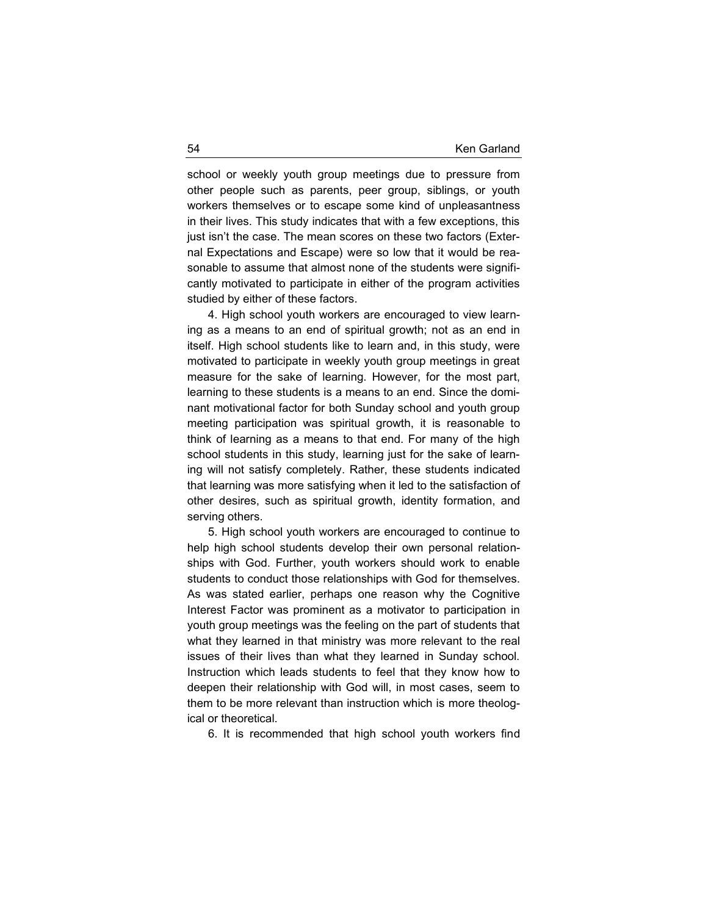school or weekly youth group meetings due to pressure from other people such as parents, peer group, siblings, or youth workers themselves or to escape some kind of unpleasantness in their lives. This study indicates that with a few exceptions, this just isn't the case. The mean scores on these two factors (External Expectations and Escape) were so low that it would be reasonable to assume that almost none of the students were significantly motivated to participate in either of the program activities studied by either of these factors.

4. High school youth workers are encouraged to view learning as a means to an end of spiritual growth; not as an end in itself. High school students like to learn and, in this study, were motivated to participate in weekly youth group meetings in great measure for the sake of learning. However, for the most part, learning to these students is a means to an end. Since the dominant motivational factor for both Sunday school and youth group meeting participation was spiritual growth, it is reasonable to think of learning as a means to that end. For many of the high school students in this study, learning just for the sake of learning will not satisfy completely. Rather, these students indicated that learning was more satisfying when it led to the satisfaction of other desires, such as spiritual growth, identity formation, and serving others.

5. High school youth workers are encouraged to continue to help high school students develop their own personal relationships with God. Further, youth workers should work to enable students to conduct those relationships with God for themselves. As was stated earlier, perhaps one reason why the Cognitive Interest Factor was prominent as a motivator to participation in youth group meetings was the feeling on the part of students that what they learned in that ministry was more relevant to the real issues of their lives than what they learned in Sunday school. Instruction which leads students to feel that they know how to deepen their relationship with God will, in most cases, seem to them to be more relevant than instruction which is more theological or theoretical.

6. It is recommended that high school youth workers find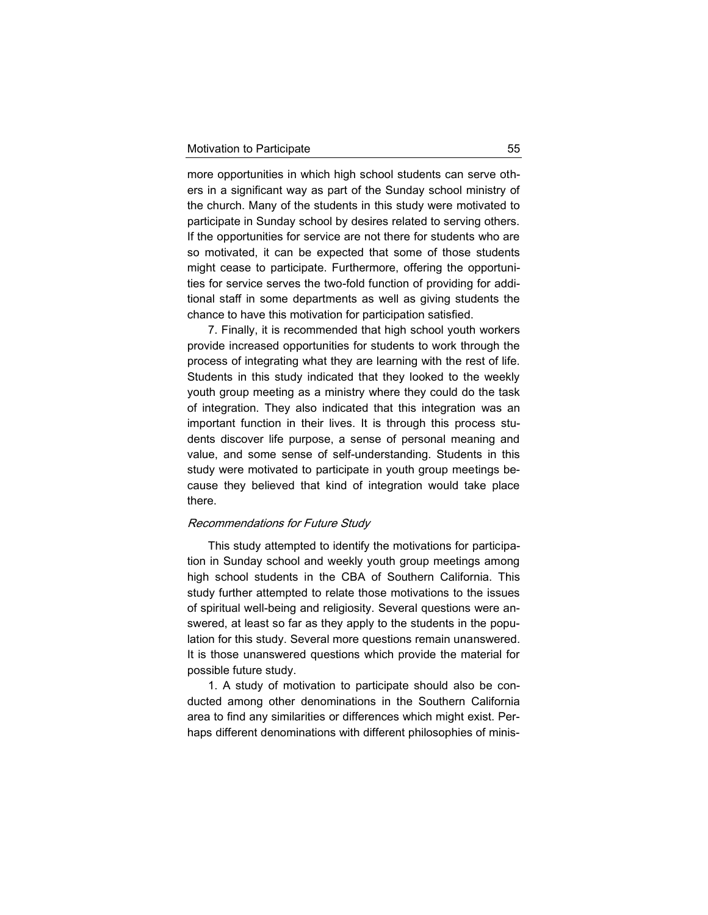more opportunities in which high school students can serve others in a significant way as part of the Sunday school ministry of the church. Many of the students in this study were motivated to participate in Sunday school by desires related to serving others. If the opportunities for service are not there for students who are so motivated, it can be expected that some of those students might cease to participate. Furthermore, offering the opportunities for service serves the two-fold function of providing for additional staff in some departments as well as giving students the chance to have this motivation for participation satisfied.

7. Finally, it is recommended that high school youth workers provide increased opportunities for students to work through the process of integrating what they are learning with the rest of life. Students in this study indicated that they looked to the weekly youth group meeting as a ministry where they could do the task of integration. They also indicated that this integration was an important function in their lives. It is through this process students discover life purpose, a sense of personal meaning and value, and some sense of self-understanding. Students in this study were motivated to participate in youth group meetings because they believed that kind of integration would take place there.

#### Recommendations for Future Study

This study attempted to identify the motivations for participation in Sunday school and weekly youth group meetings among high school students in the CBA of Southern California. This study further attempted to relate those motivations to the issues of spiritual well-being and religiosity. Several questions were answered, at least so far as they apply to the students in the population for this study. Several more questions remain unanswered. It is those unanswered questions which provide the material for possible future study.

1. A study of motivation to participate should also be conducted among other denominations in the Southern California area to find any similarities or differences which might exist. Perhaps different denominations with different philosophies of minis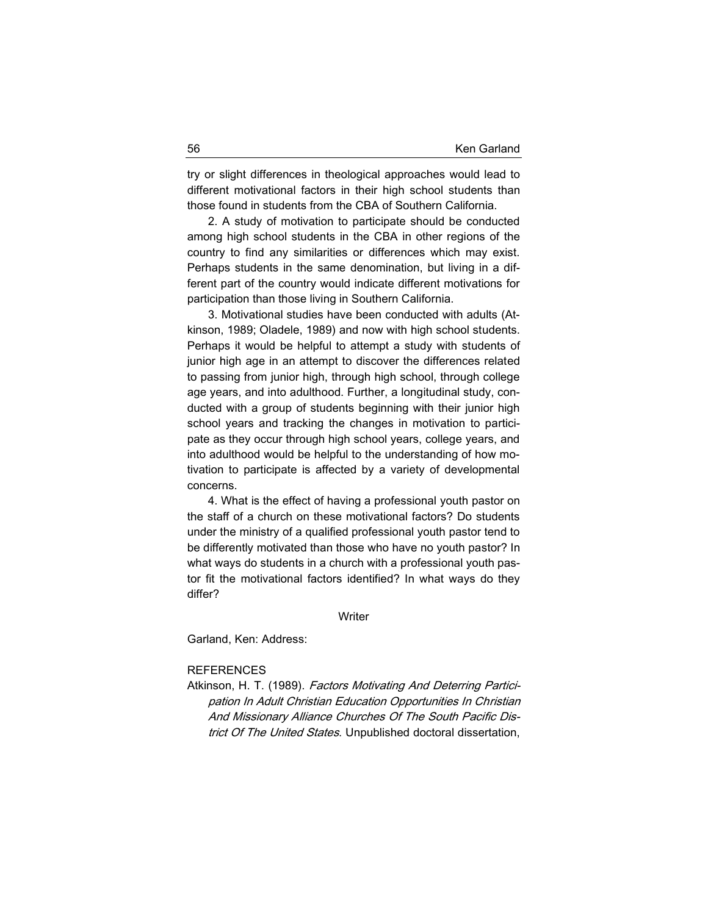try or slight differences in theological approaches would lead to different motivational factors in their high school students than those found in students from the CBA of Southern California.

2. A study of motivation to participate should be conducted among high school students in the CBA in other regions of the country to find any similarities or differences which may exist. Perhaps students in the same denomination, but living in a different part of the country would indicate different motivations for participation than those living in Southern California.

3. Motivational studies have been conducted with adults (Atkinson, 1989; Oladele, 1989) and now with high school students. Perhaps it would be helpful to attempt a study with students of junior high age in an attempt to discover the differences related to passing from junior high, through high school, through college age years, and into adulthood. Further, a longitudinal study, conducted with a group of students beginning with their junior high school years and tracking the changes in motivation to participate as they occur through high school years, college years, and into adulthood would be helpful to the understanding of how motivation to participate is affected by a variety of developmental concerns.

4. What is the effect of having a professional youth pastor on the staff of a church on these motivational factors? Do students under the ministry of a qualified professional youth pastor tend to be differently motivated than those who have no youth pastor? In what ways do students in a church with a professional youth pastor fit the motivational factors identified? In what ways do they differ?

#### **Writer**

Garland, Ken: Address:

#### **REFERENCES**

Atkinson, H. T. (1989). Factors Motivating And Deterring Participation In Adult Christian Education Opportunities In Christian And Missionary Alliance Churches Of The South Pacific District Of The United States. Unpublished doctoral dissertation,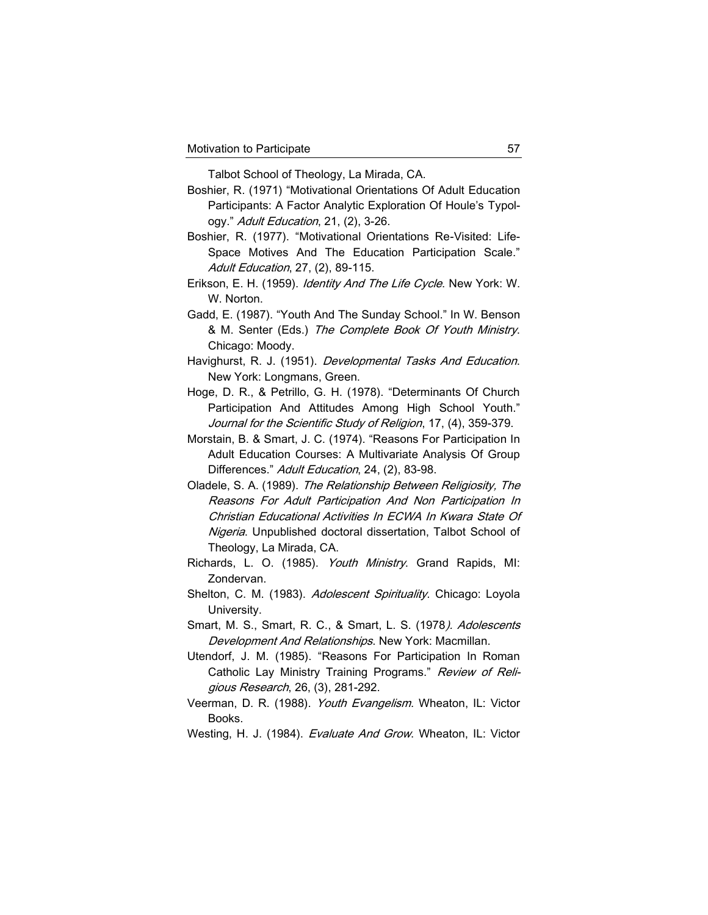Talbot School of Theology, La Mirada, CA.

- Boshier, R. (1971) "Motivational Orientations Of Adult Education Participants: A Factor Analytic Exploration Of Houle's Typology." Adult Education, 21, (2), 3-26.
- Boshier, R. (1977). "Motivational Orientations Re-Visited: Life-Space Motives And The Education Participation Scale." Adult Education, 27, (2), 89-115.
- Erikson, E. H. (1959). Identity And The Life Cycle. New York: W. W. Norton.
- Gadd, E. (1987). "Youth And The Sunday School." In W. Benson & M. Senter (Eds.) The Complete Book Of Youth Ministry. Chicago: Moody.
- Havighurst, R. J. (1951). Developmental Tasks And Education. New York: Longmans, Green.
- Hoge, D. R., & Petrillo, G. H. (1978). "Determinants Of Church Participation And Attitudes Among High School Youth." Journal for the Scientific Study of Religion, 17, (4), 359-379.
- Morstain, B. & Smart, J. C. (1974). "Reasons For Participation In Adult Education Courses: A Multivariate Analysis Of Group Differences." Adult Education, 24, (2), 83-98.
- Oladele, S. A. (1989). The Relationship Between Religiosity, The Reasons For Adult Participation And Non Participation In Christian Educational Activities In ECWA In Kwara State Of Nigeria. Unpublished doctoral dissertation, Talbot School of Theology, La Mirada, CA.
- Richards, L. O. (1985). *Youth Ministry*. Grand Rapids, MI: Zondervan.
- Shelton, C. M. (1983). Adolescent Spirituality. Chicago: Loyola University.
- Smart, M. S., Smart, R. C., & Smart, L. S. (1978). Adolescents Development And Relationships. New York: Macmillan.
- Utendorf, J. M. (1985). "Reasons For Participation In Roman Catholic Lay Ministry Training Programs." Review of Religious Research, 26, (3), 281-292.
- Veerman, D. R. (1988). Youth Evangelism. Wheaton, IL: Victor Books.
- Westing, H. J. (1984). Evaluate And Grow. Wheaton, IL: Victor